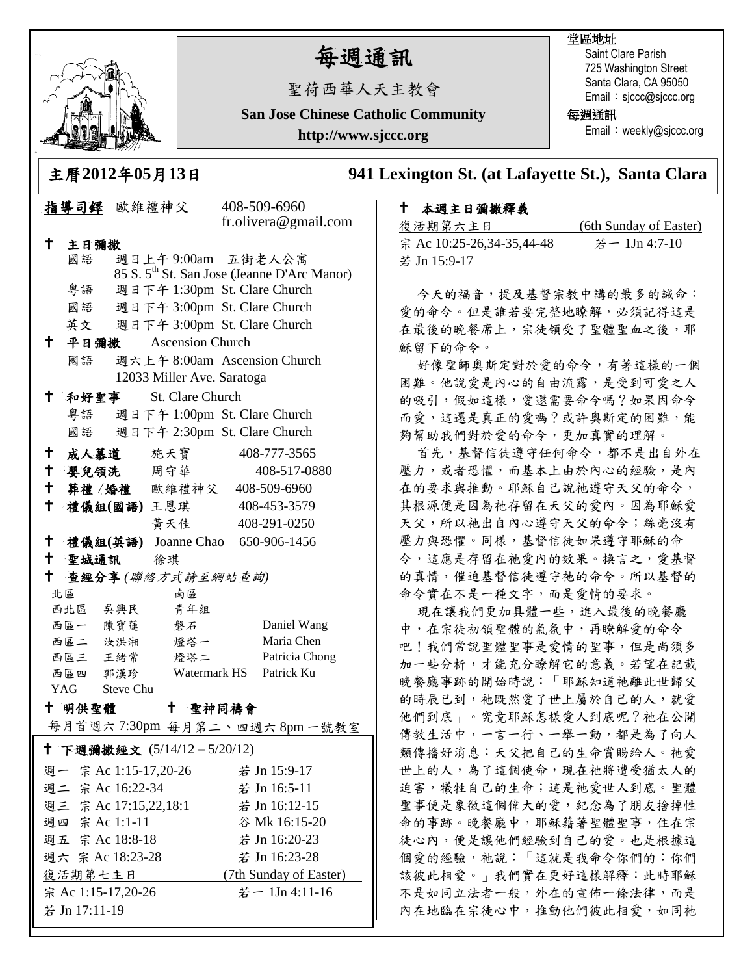

## 每週通訊

聖荷西華人天主教會

**San Jose Chinese Catholic Community**

**http://www.sjccc.org**

## 堂區地址

Saint Clare Parish 725 Washington Street Santa Clara, CA 95050 Email: sjccc@sjccc.org

每週通訊

Email: weekly@sjccc.org

**241 Lexington St. (at Lafayette St.), Santa Clara** 

## 本週主日彌撒釋義

復活期第六主日 (6th Sunday of Easter) 宗 Ac 10:25-26,34-35,44-48 若一 1Jn 4:7-10 若 Jn 15:9-17

今天的福音,提及基督宗教中講的最多的誠命: 愛的命令。但是誰若要完整地瞭解,必須記得這是 在最後的晚餐席上,宗徒領受了聖體聖血之後,耶 穌留下的命令。

好像聖師奧斯定對於愛的命令,有著這樣的一個 困難。他說愛是內心的自由流露,是受到可愛之人 的吸引,假如這樣,愛還需要命令嗎?如果因命令 而愛,這還是真正的愛嗎?或許奧斯定的困難,能 夠幫助我們對於愛的命令,更加真實的理解。

首先,基督信徒遵守任何命令,都不是出自外在 壓力,或者恐懼,而基本上由於內心的經驗,是內 在的要求與推動。耶穌自己說祂遵守天父的命令, 其根源便是因為祂存留在天父的愛內。因為耶穌愛 天父,所以祂出自內心遵守天父的命令;絲毫沒有 壓力與恐懼。同樣,基督信徒如果遵守耶穌的命 令,這應是存留在祂愛內的效果。換言之,愛基督 的真情,催迫基督信徒遵守祂的命令。所以基督的 命令實在不是一種文字,而是愛情的要求。

現在讓我們更加具體一些,進入最後的晚餐廳 中,在宗徒初領聖體的氣氛中,再瞭解愛的命令 吧!我們常說聖體聖事是愛情的聖事,但是尚須多 加一些分析,才能充分瞭解它的意義。若望在記載 晚餐廳事跡的開始時說:「耶穌知道祂離此世歸父 的時辰已到, 祂既然愛了世上屬於自己的人, 就愛 他們到底」。究竟耶穌怎樣愛人到底呢?祂在公開 傳教生活中,一言一行、一舉一動,都是為了向人 類傳播好消息:天父把自己的生命賞賜給人。祂愛 世上的人,為了這個使命,現在祂將遭受猶太人的 迫害,犧牲自己的生命;這是祂愛世人到底。聖體 聖事便是象徵這個偉大的愛,紀念為了朋友捨掉性 命的事跡。晚餐廳中,耶穌藉著聖體聖事,住在宗 徒心內,便是讓他們經驗到自己的愛。也是根據這 個愛的經驗,祂說:「這就是我命令你們的:你們 該彼此相愛。」我們實在更好這樣解釋:此時耶穌 不是如同立法者一般,外在的宣佈一條法律,而是 內在地臨在宗徒心中,推動他們彼此相愛,如同祂

|                                                           |                            |      | 主曆2012年05月13日                    |  |                                                         | 94 |  |
|-----------------------------------------------------------|----------------------------|------|----------------------------------|--|---------------------------------------------------------|----|--|
|                                                           | 指導司鐸 歐維禮神父                 |      |                                  |  | 408-509-6960                                            |    |  |
|                                                           |                            |      |                                  |  | fr.olivera@gmail.com                                    |    |  |
| †                                                         | 主日彌撒                       |      |                                  |  |                                                         |    |  |
|                                                           | 國語                         |      | 週日上午9:00am 五街老人公寓                |  |                                                         |    |  |
|                                                           |                            |      |                                  |  | 85 S. 5 <sup>th</sup> St. San Jose (Jeanne D'Arc Manor) |    |  |
|                                                           | 粤語                         |      | 週日下午 1:30pm St. Clare Church     |  |                                                         |    |  |
|                                                           |                            |      | 國語 週日下午 3:00pm St. Clare Church  |  |                                                         |    |  |
|                                                           |                            |      | 英文 週日下午 3:00pm St. Clare Church  |  |                                                         |    |  |
| Ť.,                                                       | 平日彌撒                       |      | <b>Ascension Church</b>          |  |                                                         |    |  |
|                                                           | 國語                         |      |                                  |  | 週六上午 8:00am Ascension Church                            |    |  |
|                                                           | 12033 Miller Ave. Saratoga |      |                                  |  |                                                         |    |  |
| Ť.,                                                       |                            | 和好聖事 | St. Clare Church                 |  |                                                         |    |  |
|                                                           | 粵語                         |      | 週日下午 1:00pm St. Clare Church     |  |                                                         |    |  |
|                                                           | 國語                         |      | 週日下午 2:30pm St. Clare Church     |  |                                                         |    |  |
| † 1                                                       |                            |      | 成人慕道 施天寶                         |  | 408-777-3565                                            |    |  |
|                                                           |                            |      | 十 嬰兒領洗 周守華                       |  | 408-517-0880                                            |    |  |
|                                                           |                            |      | + 葬禮/婚禮 歐維禮神父 408-509-6960       |  |                                                         |    |  |
| ╋                                                         |                            |      | 禮儀組(國語)王恩琪 408-453-3579          |  |                                                         |    |  |
|                                                           |                            |      | 黄天佳                              |  | 408-291-0250                                            |    |  |
| $^{\dagger}$                                              |                            |      | 禮儀組(英語) Joanne Chao 650-906-1456 |  |                                                         |    |  |
|                                                           | 十 聖城通訊 徐琪                  |      |                                  |  |                                                         |    |  |
| t                                                         |                            |      | 查經分享(聯絡方式請至網站查詢)                 |  |                                                         |    |  |
|                                                           | 北區                         |      | 南區                               |  |                                                         |    |  |
|                                                           | 西北區 吳興民                    |      | 青年組                              |  |                                                         |    |  |
|                                                           | 西區一 陳寶蓮                    |      | 磐石                               |  | Daniel Wang                                             |    |  |
|                                                           | 西區二 汝洪湘                    |      | 燈塔一                              |  | Maria Chen                                              |    |  |
|                                                           | 西區三 王緒常                    |      | 燈塔二                              |  | Patricia Chong                                          |    |  |
|                                                           | 西區四 郭漢珍                    |      |                                  |  | Watermark HS Patrick Ku                                 |    |  |
| YAG Steve Chu<br>十 明供聖體<br>t .<br>聖神同禱會                   |                            |      |                                  |  |                                                         |    |  |
|                                                           |                            |      |                                  |  |                                                         |    |  |
| 每月首週六7:30pm 每月第二、四週六8pm一號教室<br>† 下週彌撒經文 (5/14/12-5/20/12) |                            |      |                                  |  |                                                         |    |  |
|                                                           |                            |      |                                  |  |                                                         |    |  |
|                                                           | 週一 宗 Ac 1:15-17,20-26      |      |                                  |  | 若 Jn 15:9-17                                            |    |  |
|                                                           | 週二 宗 Ac 16:22-34           |      |                                  |  | 若 Jn 16:5-11                                            |    |  |
|                                                           | 週三 宗 Ac 17:15,22,18:1      |      |                                  |  | 若 Jn 16:12-15                                           |    |  |
|                                                           | 週四 宗 Ac 1:1-11             |      |                                  |  | 谷 Mk 16:15-20                                           |    |  |
|                                                           | 週五 宗 Ac 18:8-18            |      |                                  |  | 若 Jn 16:20-23                                           |    |  |
|                                                           | 週六 宗 Ac 18:23-28           |      |                                  |  | 若 Jn 16:23-28                                           |    |  |
|                                                           | 復活期第七主日                    |      |                                  |  | (7th Sunday of Easter)                                  |    |  |
|                                                           | 宗 Ac 1:15-17,20-26         |      |                                  |  | 若一 1Jn 4:11-16                                          |    |  |
| 若 Jn 17:11-19                                             |                            |      |                                  |  |                                                         |    |  |